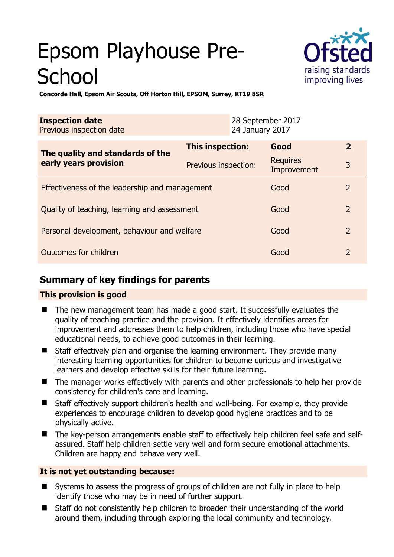# Epsom Playhouse Pre-**School**



**Concorde Hall, Epsom Air Scouts, Off Horton Hill, EPSOM, Surrey, KT19 8SR** 

| <b>Inspection date</b><br>Previous inspection date        |                      | 28 September 2017<br>24 January 2017 |                                |                |
|-----------------------------------------------------------|----------------------|--------------------------------------|--------------------------------|----------------|
| The quality and standards of the<br>early years provision | This inspection:     |                                      | Good                           | $\overline{2}$ |
|                                                           | Previous inspection: |                                      | <b>Requires</b><br>Improvement | 3              |
| Effectiveness of the leadership and management            |                      |                                      | Good                           | 2              |
| Quality of teaching, learning and assessment              |                      |                                      | Good                           | $\overline{2}$ |
| Personal development, behaviour and welfare               |                      |                                      | Good                           | $\overline{2}$ |
| Outcomes for children                                     |                      |                                      | Good                           | $\overline{2}$ |

# **Summary of key findings for parents**

## **This provision is good**

- The new management team has made a good start. It successfully evaluates the quality of teaching practice and the provision. It effectively identifies areas for improvement and addresses them to help children, including those who have special educational needs, to achieve good outcomes in their learning.
- Staff effectively plan and organise the learning environment. They provide many interesting learning opportunities for children to become curious and investigative learners and develop effective skills for their future learning.
- The manager works effectively with parents and other professionals to help her provide consistency for children's care and learning.
- Staff effectively support children's health and well-being. For example, they provide experiences to encourage children to develop good hygiene practices and to be physically active.
- The key-person arrangements enable staff to effectively help children feel safe and selfassured. Staff help children settle very well and form secure emotional attachments. Children are happy and behave very well.

## **It is not yet outstanding because:**

- Systems to assess the progress of groups of children are not fully in place to help identify those who may be in need of further support.
- Staff do not consistently help children to broaden their understanding of the world around them, including through exploring the local community and technology.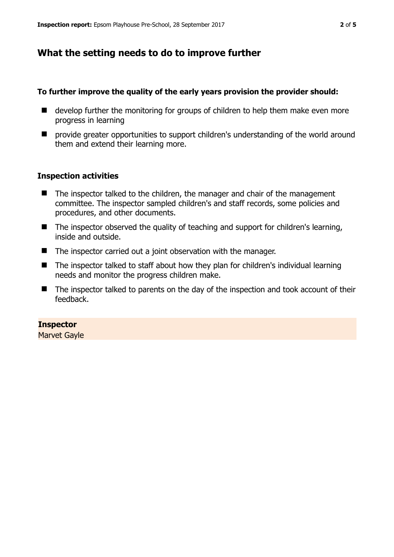# **What the setting needs to do to improve further**

### **To further improve the quality of the early years provision the provider should:**

- develop further the monitoring for groups of children to help them make even more progress in learning
- $\blacksquare$  provide greater opportunities to support children's understanding of the world around them and extend their learning more.

### **Inspection activities**

- The inspector talked to the children, the manager and chair of the management committee. The inspector sampled children's and staff records, some policies and procedures, and other documents.
- $\blacksquare$  The inspector observed the quality of teaching and support for children's learning, inside and outside.
- The inspector carried out a joint observation with the manager.
- The inspector talked to staff about how they plan for children's individual learning needs and monitor the progress children make.
- The inspector talked to parents on the day of the inspection and took account of their feedback.

## **Inspector**

Marvet Gayle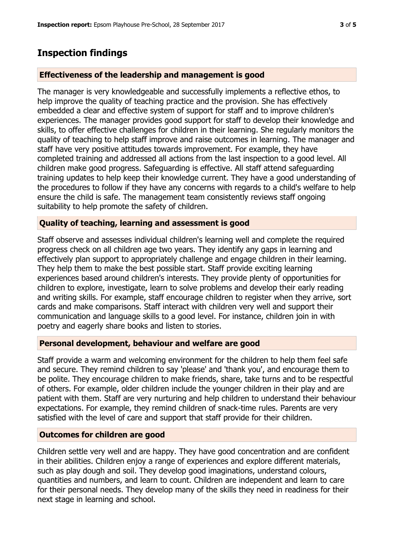## **Inspection findings**

#### **Effectiveness of the leadership and management is good**

The manager is very knowledgeable and successfully implements a reflective ethos, to help improve the quality of teaching practice and the provision. She has effectively embedded a clear and effective system of support for staff and to improve children's experiences. The manager provides good support for staff to develop their knowledge and skills, to offer effective challenges for children in their learning. She regularly monitors the quality of teaching to help staff improve and raise outcomes in learning. The manager and staff have very positive attitudes towards improvement. For example, they have completed training and addressed all actions from the last inspection to a good level. All children make good progress. Safeguarding is effective. All staff attend safeguarding training updates to help keep their knowledge current. They have a good understanding of the procedures to follow if they have any concerns with regards to a child's welfare to help ensure the child is safe. The management team consistently reviews staff ongoing suitability to help promote the safety of children.

#### **Quality of teaching, learning and assessment is good**

Staff observe and assesses individual children's learning well and complete the required progress check on all children age two years. They identify any gaps in learning and effectively plan support to appropriately challenge and engage children in their learning. They help them to make the best possible start. Staff provide exciting learning experiences based around children's interests. They provide plenty of opportunities for children to explore, investigate, learn to solve problems and develop their early reading and writing skills. For example, staff encourage children to register when they arrive, sort cards and make comparisons. Staff interact with children very well and support their communication and language skills to a good level. For instance, children join in with poetry and eagerly share books and listen to stories.

#### **Personal development, behaviour and welfare are good**

Staff provide a warm and welcoming environment for the children to help them feel safe and secure. They remind children to say 'please' and 'thank you', and encourage them to be polite. They encourage children to make friends, share, take turns and to be respectful of others. For example, older children include the younger children in their play and are patient with them. Staff are very nurturing and help children to understand their behaviour expectations. For example, they remind children of snack-time rules. Parents are very satisfied with the level of care and support that staff provide for their children.

#### **Outcomes for children are good**

Children settle very well and are happy. They have good concentration and are confident in their abilities. Children enjoy a range of experiences and explore different materials, such as play dough and soil. They develop good imaginations, understand colours, quantities and numbers, and learn to count. Children are independent and learn to care for their personal needs. They develop many of the skills they need in readiness for their next stage in learning and school.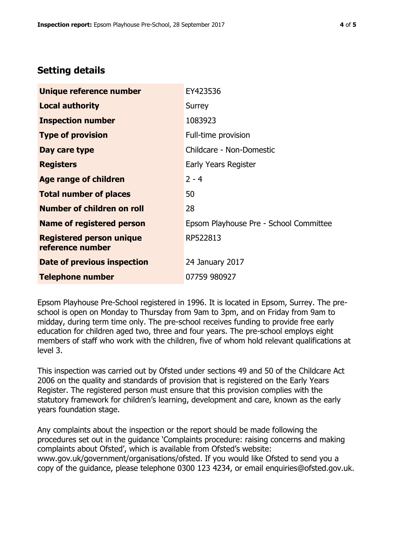# **Setting details**

| Unique reference number                             | EY423536                               |  |
|-----------------------------------------------------|----------------------------------------|--|
| <b>Local authority</b>                              | Surrey                                 |  |
| <b>Inspection number</b>                            | 1083923                                |  |
| <b>Type of provision</b>                            | Full-time provision                    |  |
| Day care type                                       | Childcare - Non-Domestic               |  |
| <b>Registers</b>                                    | Early Years Register                   |  |
| <b>Age range of children</b>                        | $2 - 4$                                |  |
| <b>Total number of places</b>                       | 50                                     |  |
| Number of children on roll                          | 28                                     |  |
| <b>Name of registered person</b>                    | Epsom Playhouse Pre - School Committee |  |
| <b>Registered person unique</b><br>reference number | RP522813                               |  |
| Date of previous inspection                         | 24 January 2017                        |  |
| <b>Telephone number</b>                             | 07759 980927                           |  |

Epsom Playhouse Pre-School registered in 1996. It is located in Epsom, Surrey. The preschool is open on Monday to Thursday from 9am to 3pm, and on Friday from 9am to midday, during term time only. The pre-school receives funding to provide free early education for children aged two, three and four years. The pre-school employs eight members of staff who work with the children, five of whom hold relevant qualifications at level 3.

This inspection was carried out by Ofsted under sections 49 and 50 of the Childcare Act 2006 on the quality and standards of provision that is registered on the Early Years Register. The registered person must ensure that this provision complies with the statutory framework for children's learning, development and care, known as the early years foundation stage.

Any complaints about the inspection or the report should be made following the procedures set out in the guidance 'Complaints procedure: raising concerns and making complaints about Ofsted', which is available from Ofsted's website: www.gov.uk/government/organisations/ofsted. If you would like Ofsted to send you a copy of the guidance, please telephone 0300 123 4234, or email enquiries@ofsted.gov.uk.